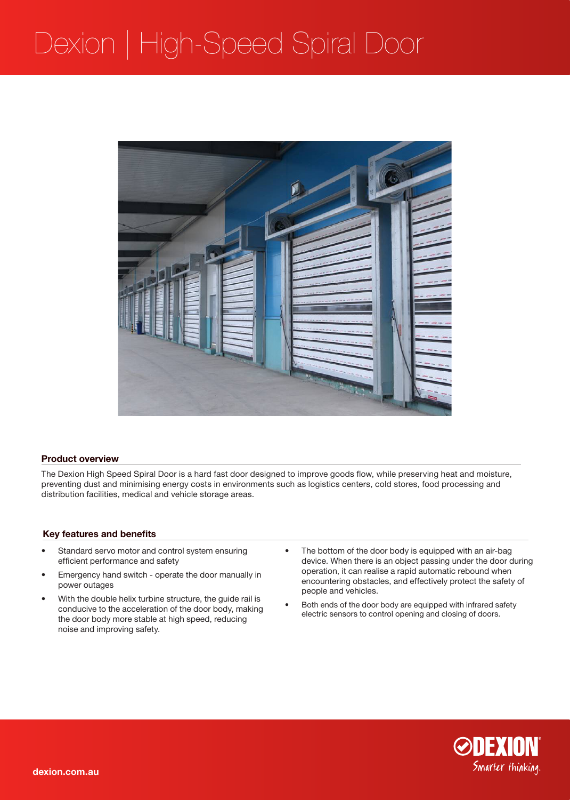## Dexion | High-Speed Spiral Door



### **Product overview**

The Dexion High Speed Spiral Door is a hard fast door designed to improve goods flow, while preserving heat and moisture, preventing dust and minimising energy costs in environments such as logistics centers, cold stores, food processing and distribution facilities, medical and vehicle storage areas.

### **Key features and benefits**

- Standard servo motor and control system ensuring efficient performance and safety
- Emergency hand switch operate the door manually in power outages
- With the double helix turbine structure, the guide rail is conducive to the acceleration of the door body, making the door body more stable at high speed, reducing noise and improving safety.
- The bottom of the door body is equipped with an air-bag device. When there is an object passing under the door during operation, it can realise a rapid automatic rebound when encountering obstacles, and effectively protect the safety of people and vehicles.
- Both ends of the door body are equipped with infrared safety electric sensors to control opening and closing of doors.

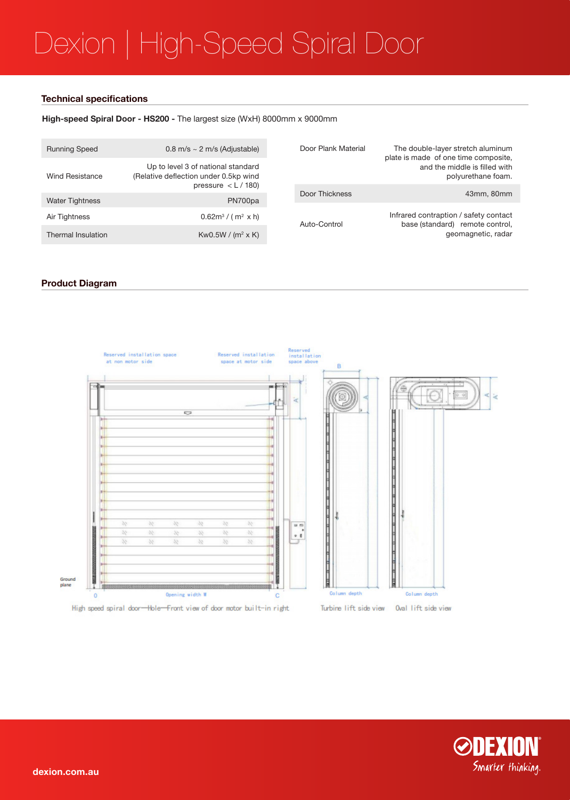# Dexion | High-Speed Spiral Door

### **Technical specifications**

## **High-speed Spiral Door - HS200 -** The largest size (WxH) 8000mm x 9000mm

| <b>Running Speed</b>   | $0.8$ m/s $\sim$ 2 m/s (Adjustable)                                                                             | Door Plank Material | The double-layer stretch aluminum<br>plate is made of one time composite,<br>and the middle is filled with<br>polyurethane foam. |
|------------------------|-----------------------------------------------------------------------------------------------------------------|---------------------|----------------------------------------------------------------------------------------------------------------------------------|
| <b>Wind Resistance</b> | Up to level 3 of national standard<br>(Relative deflection under 0.5kp wind<br>pressure $\langle L/180 \rangle$ |                     |                                                                                                                                  |
|                        |                                                                                                                 | Door Thickness      | 43mm, 80mm                                                                                                                       |
| <b>Water Tightness</b> | PN700pa                                                                                                         |                     |                                                                                                                                  |
|                        |                                                                                                                 | Auto-Control        | Infrared contraption / safety contact<br>base (standard)<br>remote control,<br>geomagnetic, radar                                |
| Air Tightness          | $0.62m^3 / (m^2 \times h)$                                                                                      |                     |                                                                                                                                  |
| Thermal Insulation     | Kw0.5W / $(m^2 \times K)$                                                                                       |                     |                                                                                                                                  |

## **Product Diagram**